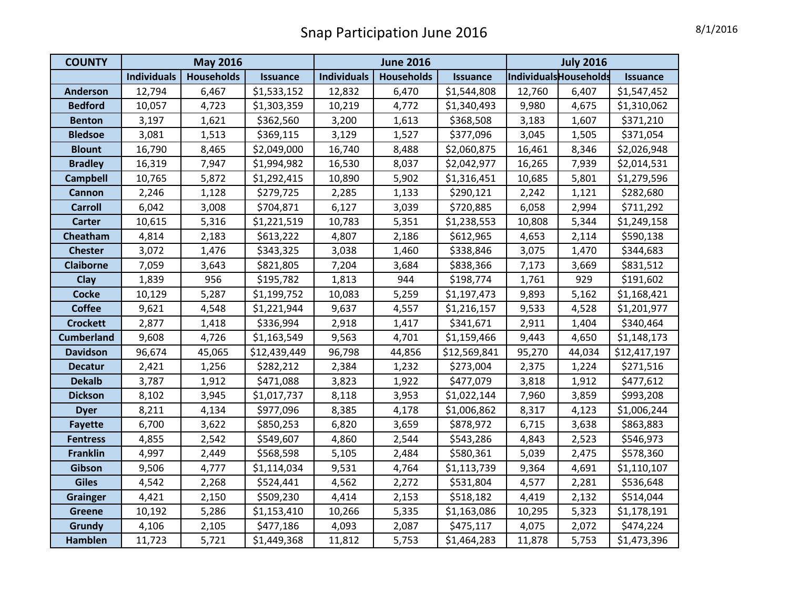## Snap Participation June 2016 **8/1/2016**

| <b>COUNTY</b>     | <b>May 2016</b>    |                   |                 |                    | <b>June 2016</b>  |                 | <b>July 2016</b>      |        |                 |  |
|-------------------|--------------------|-------------------|-----------------|--------------------|-------------------|-----------------|-----------------------|--------|-----------------|--|
|                   | <b>Individuals</b> | <b>Households</b> | <b>Issuance</b> | <b>Individuals</b> | <b>Households</b> | <b>Issuance</b> | IndividualsHouseholds |        | <b>Issuance</b> |  |
| <b>Anderson</b>   | 12,794             | 6,467             | \$1,533,152     | 12,832             | 6,470             | \$1,544,808     | 12,760                | 6,407  | \$1,547,452     |  |
| <b>Bedford</b>    | 10,057             | 4,723             | \$1,303,359     | 10,219             | 4,772             | \$1,340,493     | 9,980                 | 4,675  | \$1,310,062     |  |
| <b>Benton</b>     | 3,197              | 1,621             | \$362,560       | 3,200              | 1,613             | \$368,508       | 3,183                 | 1,607  | \$371,210       |  |
| <b>Bledsoe</b>    | 3,081              | 1,513             | \$369,115       | 3,129              | 1,527             | \$377,096       | 3,045                 | 1,505  | \$371,054       |  |
| <b>Blount</b>     | 16,790             | 8,465             | \$2,049,000     | 16,740             | 8,488             | \$2,060,875     | 16,461                | 8,346  | \$2,026,948     |  |
| <b>Bradley</b>    | 16,319             | 7,947             | \$1,994,982     | 16,530             | 8,037             | \$2,042,977     | 16,265                | 7,939  | \$2,014,531     |  |
| <b>Campbell</b>   | 10,765             | 5,872             | \$1,292,415     | 10,890             | 5,902             | \$1,316,451     | 10,685                | 5,801  | \$1,279,596     |  |
| <b>Cannon</b>     | 2,246              | 1,128             | \$279,725       | 2,285              | 1,133             | \$290,121       | 2,242                 | 1,121  | \$282,680       |  |
| <b>Carroll</b>    | 6,042              | 3,008             | \$704,871       | 6,127              | 3,039             | \$720,885       | 6,058                 | 2,994  | \$711,292       |  |
| <b>Carter</b>     | 10,615             | 5,316             | \$1,221,519     | 10,783             | 5,351             | \$1,238,553     | 10,808                | 5,344  | \$1,249,158     |  |
| Cheatham          | 4,814              | 2,183             | \$613,222       | 4,807              | 2,186             | \$612,965       | 4,653                 | 2,114  | \$590,138       |  |
| <b>Chester</b>    | 3,072              | 1,476             | \$343,325       | 3,038              | 1,460             | \$338,846       | 3,075                 | 1,470  | \$344,683       |  |
| <b>Claiborne</b>  | 7,059              | 3,643             | \$821,805       | 7,204              | 3,684             | \$838,366       | 7,173                 | 3,669  | \$831,512       |  |
| Clay              | 1,839              | 956               | \$195,782       | 1,813              | 944               | \$198,774       | 1,761                 | 929    | \$191,602       |  |
| <b>Cocke</b>      | 10,129             | 5,287             | \$1,199,752     | 10,083             | 5,259             | \$1,197,473     | 9,893                 | 5,162  | \$1,168,421     |  |
| <b>Coffee</b>     | 9,621              | 4,548             | \$1,221,944     | 9,637              | 4,557             | \$1,216,157     | 9,533                 | 4,528  | \$1,201,977     |  |
| <b>Crockett</b>   | 2,877              | 1,418             | \$336,994       | 2,918              | 1,417             | \$341,671       | 2,911                 | 1,404  | \$340,464       |  |
| <b>Cumberland</b> | 9,608              | 4,726             | \$1,163,549     | 9,563              | 4,701             | \$1,159,466     | 9,443                 | 4,650  | \$1,148,173     |  |
| <b>Davidson</b>   | 96,674             | 45,065            | \$12,439,449    | 96,798             | 44,856            | \$12,569,841    | 95,270                | 44,034 | \$12,417,197    |  |
| <b>Decatur</b>    | 2,421              | 1,256             | \$282,212       | 2,384              | 1,232             | \$273,004       | 2,375                 | 1,224  | \$271,516       |  |
| <b>Dekalb</b>     | 3,787              | 1,912             | \$471,088       | 3,823              | 1,922             | \$477,079       | 3,818                 | 1,912  | \$477,612       |  |
| <b>Dickson</b>    | 8,102              | 3,945             | \$1,017,737     | 8,118              | 3,953             | \$1,022,144     | 7,960                 | 3,859  | \$993,208       |  |
| <b>Dyer</b>       | 8,211              | 4,134             | \$977,096       | 8,385              | 4,178             | \$1,006,862     | 8,317                 | 4,123  | \$1,006,244     |  |
| <b>Fayette</b>    | 6,700              | 3,622             | \$850,253       | 6,820              | 3,659             | \$878,972       | 6,715                 | 3,638  | \$863,883       |  |
| <b>Fentress</b>   | 4,855              | 2,542             | \$549,607       | 4,860              | 2,544             | \$543,286       | 4,843                 | 2,523  | \$546,973       |  |
| <b>Franklin</b>   | 4,997              | 2,449             | \$568,598       | 5,105              | 2,484             | \$580,361       | 5,039                 | 2,475  | \$578,360       |  |
| Gibson            | 9,506              | 4,777             | \$1,114,034     | 9,531              | 4,764             | \$1,113,739     | 9,364                 | 4,691  | \$1,110,107     |  |
| <b>Giles</b>      | 4,542              | 2,268             | \$524,441       | 4,562              | 2,272             | \$531,804       | 4,577                 | 2,281  | \$536,648       |  |
| <b>Grainger</b>   | 4,421              | 2,150             | \$509,230       | 4,414              | 2,153             | \$518,182       | 4,419                 | 2,132  | \$514,044       |  |
| <b>Greene</b>     | 10,192             | 5,286             | \$1,153,410     | 10,266             | 5,335             | \$1,163,086     | 10,295                | 5,323  | \$1,178,191     |  |
| Grundy            | 4,106              | 2,105             | \$477,186       | 4,093              | 2,087             | \$475,117       | 4,075                 | 2,072  | \$474,224       |  |
| Hamblen           | 11,723             | 5,721             | \$1,449,368     | 11,812             | 5,753             | \$1,464,283     | 11,878                | 5,753  | \$1,473,396     |  |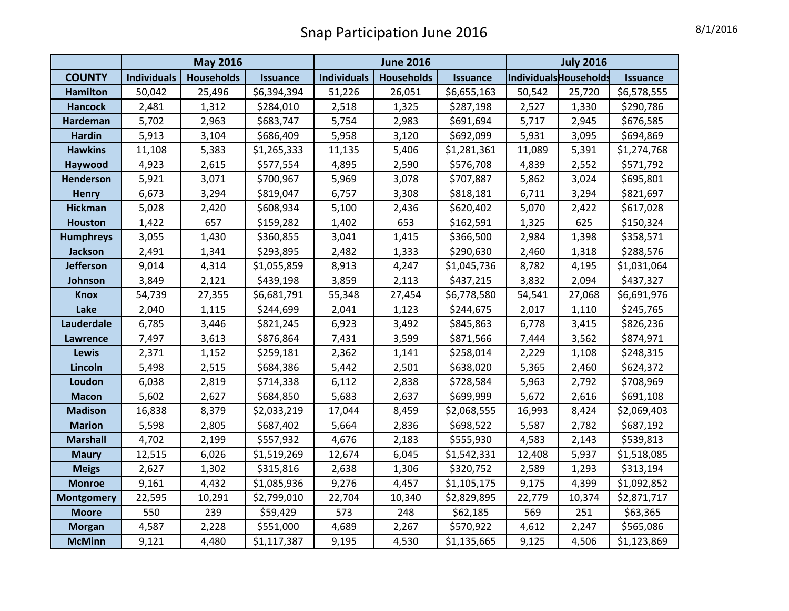| Snap Participation June 2016 |                                                         |                   |                 |                    |                   |                 |        |                       |                        |  |  |  |
|------------------------------|---------------------------------------------------------|-------------------|-----------------|--------------------|-------------------|-----------------|--------|-----------------------|------------------------|--|--|--|
|                              | <b>July 2016</b><br><b>May 2016</b><br><b>June 2016</b> |                   |                 |                    |                   |                 |        |                       |                        |  |  |  |
| <b>COUNTY</b>                | <b>Individuals</b>                                      | <b>Households</b> | <b>Issuance</b> | <b>Individuals</b> | <b>Households</b> | <b>Issuance</b> |        | IndividualsHouseholds | <i><b>Issuance</b></i> |  |  |  |
| <b>Hamilton</b>              | 50,042                                                  | 25,496            | \$6,394,394     | 51,226             | 26,051            | \$6,655,163     | 50,542 | 25,720                | \$6,578,555            |  |  |  |
| <b>Hancock</b>               | 2,481                                                   | 1,312             | \$284,010       | 2,518              | 1,325             | \$287,198       | 2,527  | 1,330                 | \$290,786              |  |  |  |
| <b>Hardeman</b>              | 5,702                                                   | 2,963             | \$683,747       | 5,754              | 2,983             | \$691,694       | 5,717  | 2,945                 | \$676,585              |  |  |  |
| Hardin                       | 5,913                                                   | 3,104             | \$686,409       | 5,958              | 3,120             | \$692,099       | 5,931  | 3,095                 | \$694,869              |  |  |  |
| <b>Hawkins</b>               | 11,108                                                  | 5,383             | \$1,265,333     | 11,135             | 5,406             | \$1,281,361     | 11,089 | 5,391                 | \$1,274,768            |  |  |  |
| Haywood                      | 4,923                                                   | 2,615             | \$577,554       | 4,895              | 2,590             | \$576,708       | 4,839  | 2,552                 | \$571,792              |  |  |  |
| Ienderson                    | 5,921                                                   | 3,071             | \$700,967       | 5,969              | 3,078             | \$707,887       | 5,862  | 3,024                 | \$695,801              |  |  |  |

|                   | <b>May 2016</b>    |                   |                 |                    | <b>June 2016</b>  |                 | <b>July 2016</b>      |        |                 |  |
|-------------------|--------------------|-------------------|-----------------|--------------------|-------------------|-----------------|-----------------------|--------|-----------------|--|
| <b>COUNTY</b>     | <b>Individuals</b> | <b>Households</b> | <b>Issuance</b> | <b>Individuals</b> | <b>Households</b> | <b>Issuance</b> | IndividualsHouseholds |        | <b>Issuance</b> |  |
| <b>Hamilton</b>   | 50,042             | 25,496            | \$6,394,394     | 51,226             | 26,051            | \$6,655,163     | 50,542                | 25,720 | \$6,578,555     |  |
| <b>Hancock</b>    | 2,481              | 1,312             | \$284,010       | 2,518              | 1,325             | \$287,198       | 2,527                 | 1,330  | \$290,786       |  |
| Hardeman          | 5,702              | 2,963             | \$683,747       | 5,754              | 2,983             | \$691,694       | 5,717                 | 2,945  | \$676,585       |  |
| <b>Hardin</b>     | 5,913              | 3,104             | \$686,409       | 5,958              | 3,120             | \$692,099       | 5,931                 | 3,095  | \$694,869       |  |
| <b>Hawkins</b>    | 11,108             | 5,383             | \$1,265,333     | 11,135             | 5,406             | \$1,281,361     | 11,089                | 5,391  | \$1,274,768     |  |
| Haywood           | 4,923              | 2,615             | \$577,554       | 4,895              | 2,590             | \$576,708       | 4,839                 | 2,552  | \$571,792       |  |
| <b>Henderson</b>  | 5,921              | 3,071             | \$700,967       | 5,969              | 3,078             | \$707,887       | 5,862                 | 3,024  | \$695,801       |  |
| <b>Henry</b>      | 6,673              | 3,294             | \$819,047       | 6,757              | 3,308             | \$818,181       | 6,711                 | 3,294  | \$821,697       |  |
| <b>Hickman</b>    | 5,028              | 2,420             | \$608,934       | 5,100              | 2,436             | \$620,402       | 5,070                 | 2,422  | \$617,028       |  |
| <b>Houston</b>    | 1,422              | 657               | \$159,282       | 1,402              | 653               | \$162,591       | 1,325                 | 625    | \$150,324       |  |
| <b>Humphreys</b>  | 3,055              | 1,430             | \$360,855       | 3,041              | 1,415             | \$366,500       | 2,984                 | 1,398  | \$358,571       |  |
| <b>Jackson</b>    | 2,491              | 1,341             | \$293,895       | 2,482              | 1,333             | \$290,630       | 2,460                 | 1,318  | \$288,576       |  |
| <b>Jefferson</b>  | 9,014              | 4,314             | \$1,055,859     | 8,913              | 4,247             | \$1,045,736     | 8,782                 | 4,195  | \$1,031,064     |  |
| Johnson           | 3,849              | 2,121             | \$439,198       | 3,859              | 2,113             | \$437,215       | 3,832                 | 2,094  | \$437,327       |  |
| <b>Knox</b>       | 54,739             | 27,355            | \$6,681,791     | 55,348             | 27,454            | \$6,778,580     | 54,541                | 27,068 | \$6,691,976     |  |
| Lake              | 2,040              | 1,115             | \$244,699       | 2,041              | 1,123             | \$244,675       | 2,017                 | 1,110  | \$245,765       |  |
| Lauderdale        | 6,785              | 3,446             | \$821,245       | 6,923              | 3,492             | \$845,863       | 6,778                 | 3,415  | \$826,236       |  |
| Lawrence          | 7,497              | 3,613             | \$876,864       | 7,431              | 3,599             | \$871,566       | 7,444                 | 3,562  | \$874,971       |  |
| <b>Lewis</b>      | 2,371              | 1,152             | \$259,181       | 2,362              | 1,141             | \$258,014       | 2,229                 | 1,108  | \$248,315       |  |
| Lincoln           | 5,498              | 2,515             | \$684,386       | 5,442              | 2,501             | \$638,020       | 5,365                 | 2,460  | \$624,372       |  |
| Loudon            | 6,038              | 2,819             | \$714,338       | 6,112              | 2,838             | \$728,584       | 5,963                 | 2,792  | \$708,969       |  |
| <b>Macon</b>      | 5,602              | 2,627             | \$684,850       | 5,683              | 2,637             | \$699,999       | 5,672                 | 2,616  | \$691,108       |  |
| <b>Madison</b>    | 16,838             | 8,379             | \$2,033,219     | 17,044             | 8,459             | \$2,068,555     | 16,993                | 8,424  | \$2,069,403     |  |
| <b>Marion</b>     | 5,598              | 2,805             | \$687,402       | 5,664              | 2,836             | \$698,522       | 5,587                 | 2,782  | \$687,192       |  |
| <b>Marshall</b>   | 4,702              | 2,199             | \$557,932       | 4,676              | 2,183             | \$555,930       | 4,583                 | 2,143  | \$539,813       |  |
| <b>Maury</b>      | 12,515             | 6,026             | \$1,519,269     | 12,674             | 6,045             | \$1,542,331     | 12,408                | 5,937  | \$1,518,085     |  |
| <b>Meigs</b>      | 2,627              | 1,302             | \$315,816       | 2,638              | 1,306             | \$320,752       | 2,589                 | 1,293  | \$313,194       |  |
| <b>Monroe</b>     | 9,161              | 4,432             | \$1,085,936     | 9,276              | 4,457             | \$1,105,175     | 9,175                 | 4,399  | \$1,092,852     |  |
| <b>Montgomery</b> | 22,595             | 10,291            | \$2,799,010     | 22,704             | 10,340            | \$2,829,895     | 22,779                | 10,374 | \$2,871,717     |  |
| <b>Moore</b>      | 550                | 239               | \$59,429        | 573                | 248               | \$62,185        | 569                   | 251    | \$63,365        |  |
| <b>Morgan</b>     | 4,587              | 2,228             | \$551,000       | 4,689              | 2,267             | \$570,922       | 4,612                 | 2,247  | \$565,086       |  |
| <b>McMinn</b>     | 9,121              | 4,480             | \$1,117,387     | 9,195              | 4,530             | \$1,135,665     | 9,125                 | 4,506  | \$1,123,869     |  |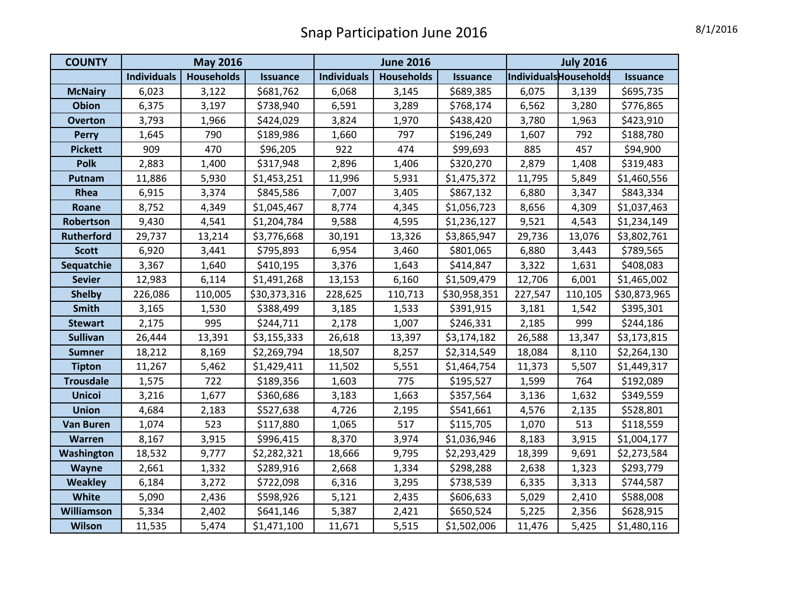## Snap Participation June 2016 **8/1/2016**

| <b>COUNTY</b>     | <b>May 2016</b>    |                   |                 |                    | <b>June 2016</b>  |                 | <b>July 2016</b>      |         |                 |  |
|-------------------|--------------------|-------------------|-----------------|--------------------|-------------------|-----------------|-----------------------|---------|-----------------|--|
|                   | <b>Individuals</b> | <b>Households</b> | <b>Issuance</b> | <b>Individuals</b> | <b>Households</b> | <b>Issuance</b> | IndividualsHouseholds |         | <b>Issuance</b> |  |
| <b>McNairy</b>    | 6,023              | 3,122             | \$681,762       | 6,068              | 3,145             | \$689,385       | 6,075                 | 3,139   | \$695,735       |  |
| <b>Obion</b>      | 6,375              | 3,197             | \$738,940       | 6,591              | 3,289             | \$768,174       | 6,562                 | 3,280   | \$776,865       |  |
| <b>Overton</b>    | 3,793              | 1,966             | \$424,029       | 3,824              | 1,970             | \$438,420       | 3,780                 | 1,963   | \$423,910       |  |
| <b>Perry</b>      | 1,645              | 790               | \$189,986       | 1,660              | 797               | \$196,249       | 1,607                 | 792     | \$188,780       |  |
| <b>Pickett</b>    | 909                | 470               | \$96,205        | 922                | 474               | \$99,693        | 885                   | 457     | \$94,900        |  |
| <b>Polk</b>       | 2,883              | 1,400             | \$317,948       | 2,896              | 1,406             | \$320,270       | 2,879                 | 1,408   | \$319,483       |  |
| Putnam            | 11,886             | 5,930             | \$1,453,251     | 11,996             | 5,931             | \$1,475,372     | 11,795                | 5,849   | \$1,460,556     |  |
| Rhea              | 6,915              | 3,374             | \$845,586       | 7,007              | 3,405             | \$867,132       | 6,880                 | 3,347   | \$843,334       |  |
| Roane             | 8,752              | 4,349             | \$1,045,467     | 8,774              | 4,345             | \$1,056,723     | 8,656                 | 4,309   | \$1,037,463     |  |
| Robertson         | 9,430              | 4,541             | \$1,204,784     | 9,588              | 4,595             | \$1,236,127     | 9,521                 | 4,543   | \$1,234,149     |  |
| <b>Rutherford</b> | 29,737             | 13,214            | \$3,776,668     | 30,191             | 13,326            | \$3,865,947     | 29,736                | 13,076  | \$3,802,761     |  |
| <b>Scott</b>      | 6,920              | 3,441             | \$795,893       | 6,954              | 3,460             | \$801,065       | 6,880                 | 3,443   | \$789,565       |  |
| Sequatchie        | 3,367              | 1,640             | \$410,195       | 3,376              | 1,643             | \$414,847       | 3,322                 | 1,631   | \$408,083       |  |
| <b>Sevier</b>     | 12,983             | 6,114             | \$1,491,268     | 13,153             | 6,160             | \$1,509,479     | 12,706                | 6,001   | \$1,465,002     |  |
| <b>Shelby</b>     | 226,086            | 110,005           | \$30,373,316    | 228,625            | 110,713           | \$30,958,351    | 227,547               | 110,105 | \$30,873,965    |  |
| <b>Smith</b>      | 3,165              | 1,530             | \$388,499       | 3,185              | 1,533             | \$391,915       | 3,181                 | 1,542   | \$395,301       |  |
| <b>Stewart</b>    | 2,175              | 995               | \$244,711       | 2,178              | 1,007             | \$246,331       | 2,185                 | 999     | \$244,186       |  |
| <b>Sullivan</b>   | 26,444             | 13,391            | \$3,155,333     | 26,618             | 13,397            | \$3,174,182     | 26,588                | 13,347  | \$3,173,815     |  |
| <b>Sumner</b>     | 18,212             | 8,169             | \$2,269,794     | 18,507             | 8,257             | \$2,314,549     | 18,084                | 8,110   | \$2,264,130     |  |
| <b>Tipton</b>     | 11,267             | 5,462             | \$1,429,411     | 11,502             | 5,551             | \$1,464,754     | 11,373                | 5,507   | \$1,449,317     |  |
| <b>Trousdale</b>  | 1,575              | 722               | \$189,356       | 1,603              | 775               | \$195,527       | 1,599                 | 764     | \$192,089       |  |
| <b>Unicoi</b>     | 3,216              | 1,677             | \$360,686       | 3,183              | 1,663             | \$357,564       | 3,136                 | 1,632   | \$349,559       |  |
| <b>Union</b>      | 4,684              | 2,183             | \$527,638       | 4,726              | 2,195             | \$541,661       | 4,576                 | 2,135   | \$528,801       |  |
| <b>Van Buren</b>  | 1,074              | 523               | \$117,880       | 1,065              | 517               | \$115,705       | 1,070                 | 513     | \$118,559       |  |
| Warren            | 8,167              | 3,915             | \$996,415       | 8,370              | 3,974             | \$1,036,946     | 8,183                 | 3,915   | \$1,004,177     |  |
| Washington        | 18,532             | 9,777             | \$2,282,321     | 18,666             | 9,795             | \$2,293,429     | 18,399                | 9,691   | \$2,273,584     |  |
| <b>Wayne</b>      | 2,661              | 1,332             | \$289,916       | 2,668              | 1,334             | \$298,288       | 2,638                 | 1,323   | \$293,779       |  |
| <b>Weakley</b>    | 6,184              | 3,272             | \$722,098       | 6,316              | 3,295             | \$738,539       | 6,335                 | 3,313   | \$744,587       |  |
| White             | 5,090              | 2,436             | \$598,926       | 5,121              | 2,435             | \$606,633       | 5,029                 | 2,410   | \$588,008       |  |
| <b>Williamson</b> | 5,334              | 2,402             | \$641,146       | 5,387              | 2,421             | \$650,524       | 5,225                 | 2,356   | \$628,915       |  |
| <b>Wilson</b>     | 11,535             | 5,474             | \$1,471,100     | 11,671             | 5,515             | \$1,502,006     | 11,476                | 5,425   | \$1,480,116     |  |